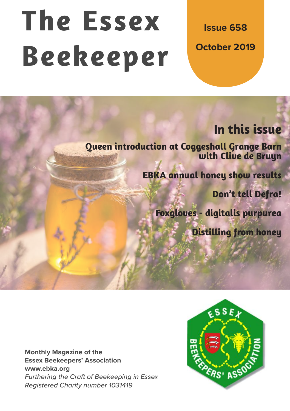# **The Essex Beekeeper**

**Issue 658 October 2019**

## **In this issue**

**Queen introduction at Coggeshall Grange Barn with Clive de Bruyn**

**EBKA annual honey show results**

**Don't tell Defra!**

**Foxgloves - digitalis purpurea**

**Distilling from honey**

**Monthly Magazine of the Essex Beekeepers' Association www.ebka.org** *Furthering the Craft of Beekeeping in Essex Registered Charity number 1031419*

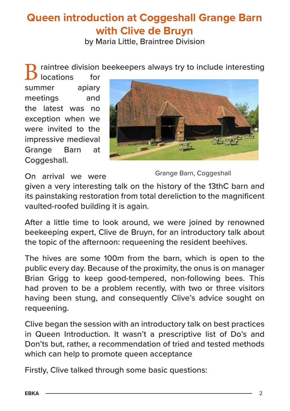## **Queen introduction at Coggeshall Grange Barn with Clive de Bruyn**

by Maria Little, Braintree Division

locations summer meetings and the latest was no exception when we were invited to the impressive medieval Grange Barn at Coggeshall.



On arrival we were

Grange Barn, Coggeshall

given a very interesting talk on the history of the 13thC barn and its painstaking restoration from total dereliction to the magnificent vaulted-roofed building it is again.

After a little time to look around, we were joined by renowned beekeeping expert, Clive de Bruyn, for an introductory talk about the topic of the afternoon: requeening the resident beehives.

The hives are some 100m from the barn, which is open to the public every day. Because of the proximity, the onus is on manager Brian Grigg to keep good-tempered, non-following bees. This had proven to be a problem recently, with two or three visitors having been stung, and consequently Clive's advice sought on requeening.

Clive began the session with an introductory talk on best practices in Queen Introduction. It wasn't a prescriptive list of Do's and Don'ts but, rather, a recommendation of tried and tested methods which can help to promote queen acceptance

Firstly, Clive talked through some basic questions: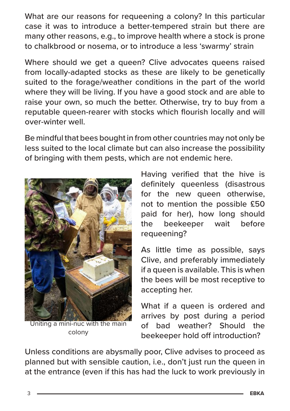What are our reasons for requeening a colony? In this particular case it was to introduce a better-tempered strain but there are many other reasons, e.g., to improve health where a stock is prone to chalkbrood or nosema, or to introduce a less 'swarmy' strain

Where should we get a queen? Clive advocates queens raised from locally-adapted stocks as these are likely to be genetically suited to the forage/weather conditions in the part of the world where they will be living. If you have a good stock and are able to raise your own, so much the better. Otherwise, try to buy from a reputable queen-rearer with stocks which flourish locally and will over-winter well.

Be mindful that bees bought in from other countries may not only be less suited to the local climate but can also increase the possibility of bringing with them pests, which are not endemic here.



Uniting a mini-nuc with the main colony

Having verified that the hive is definitely queenless (disastrous for the new queen otherwise, not to mention the possible £50 paid for her), how long should the beekeeper wait before requeening?

As little time as possible, says Clive, and preferably immediately if a queen is available. This is when the bees will be most receptive to accepting her.

What if a queen is ordered and arrives by post during a period of bad weather? Should the beekeeper hold off introduction?

Unless conditions are abysmally poor, Clive advises to proceed as planned but with sensible caution, i.e., don't just run the queen in at the entrance (even if this has had the luck to work previously in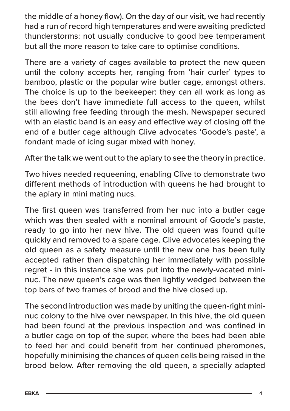the middle of a honey flow). On the day of our visit, we had recently had a run of record high temperatures and were awaiting predicted thunderstorms: not usually conducive to good bee temperament but all the more reason to take care to optimise conditions.

There are a variety of cages available to protect the new queen until the colony accepts her, ranging from 'hair curler' types to bamboo, plastic or the popular wire butler cage, amongst others. The choice is up to the beekeeper: they can all work as long as the bees don't have immediate full access to the queen, whilst still allowing free feeding through the mesh. Newspaper secured with an elastic band is an easy and effective way of closing off the end of a butler cage although Clive advocates 'Goode's paste', a fondant made of icing sugar mixed with honey.

After the talk we went out to the apiary to see the theory in practice.

Two hives needed requeening, enabling Clive to demonstrate two different methods of introduction with queens he had brought to the apiary in mini mating nucs.

The first queen was transferred from her nuc into a butler cage which was then sealed with a nominal amount of Goode's paste, ready to go into her new hive. The old queen was found quite quickly and removed to a spare cage. Clive advocates keeping the old queen as a safety measure until the new one has been fully accepted rather than dispatching her immediately with possible regret - in this instance she was put into the newly-vacated mininuc. The new queen's cage was then lightly wedged between the top bars of two frames of brood and the hive closed up.

The second introduction was made by uniting the queen-right mininuc colony to the hive over newspaper. In this hive, the old queen had been found at the previous inspection and was confined in a butler cage on top of the super, where the bees had been able to feed her and could benefit from her continued pheromones, hopefully minimising the chances of queen cells being raised in the brood below. After removing the old queen, a specially adapted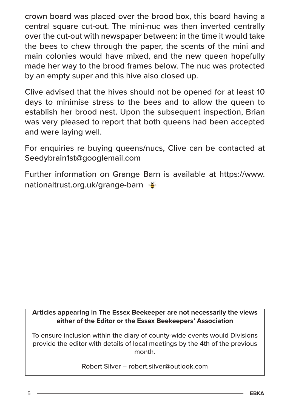crown board was placed over the brood box, this board having a central square cut-out. The mini-nuc was then inverted centrally over the cut-out with newspaper between: in the time it would take the bees to chew through the paper, the scents of the mini and main colonies would have mixed, and the new queen hopefully made her way to the brood frames below. The nuc was protected by an empty super and this hive also closed up.

Clive advised that the hives should not be opened for at least 10 days to minimise stress to the bees and to allow the queen to establish her brood nest. Upon the subsequent inspection, Brian was very pleased to report that both queens had been accepted and were laying well.

For enquiries re buying queens/nucs, Clive can be contacted at Seedybrain1st@googlemail.com

Further information on Grange Barn is available at https://www. nationaltrust.org.uk/grange-barn

**Articles appearing in The Essex Beekeeper are not necessarily the views either of the Editor or the Essex Beekeepers' Association**

To ensure inclusion within the diary of county-wide events would Divisions provide the editor with details of local meetings by the 4th of the previous month.

Robert Silver – robert.silver@outlook.com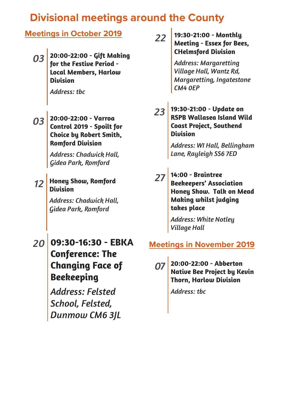## **Divisional meetings around the County**

#### **Meetings in October 2019**

*03* **20:00-22:00 - Gift Making for the Festive Period - Local Members, Harlow Division**

*Address: tbc*

*03* **20:00-22:00 - Varroa Control 2019 - Spoilt for Choice by Robert Smith, Romford Division**

> *Address: Chadwick Hall, Gidea Park, Romford*

*12* **Honey Show, Romford Division**

> *Address: Chadwick Hall, Gidea Park, Romford*

*20* **09:30-16:30 - EBKA Conference: The Changing Face of Beekeeping**

> *Address: Felsted School, Felsted, Dunmow CM6 3JL*

*22* **19:30-21:00 - Monthly Meeting - Essex for Bees, CHelmsford Division**

> *Address: Margaretting Village Hall, Wantz Rd, Margaretting, Ingatestone CM4 0EP*

*23* **19:30-21:00 - Update on RSPB Wallasea Island Wild Coast Project, Southend Division**

> *Address: WI Hall, Bellingham Lane, Rayleigh SS6 7ED*

*27* **14:00 - Braintree Beekeepers' Association Honey Show. Talk on Mead Making whilst judging takes place**

> *Address: White Notley Village Hall*

#### **Meetings in November 2019**

*07* **20:00-22:00 - Abberton Native Bee Project by Kevin Thorn, Harlow Division**

*Address: tbc*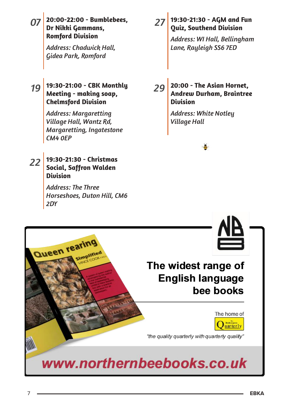#### *07* **20:00-22:00 - Bumblebees, Dr Nikki Gammans, Romford Division**

*Address: Chadwick Hall, Gidea Park, Romford*

#### *19* **19:30-21:00 - CBK Monthly Meeting - making soap, Chelmsford Division**

*Address: Margaretting Village Hall, Wantz Rd, Margaretting, Ingatestone CM4 0EP*

*22* **19:30-21:30 - Christmas Social, Saffron Walden** 

*Address: The Three* 

*Horseshoes, Duton Hill, CM6* 

**Division**

#### *27* **19:30-21:30 - AGM and Fun Quiz, Southend Division**

*Address: WI Hall, Bellingham Lane, Rayleigh SS6 7ED*

*29* **20:00 - The Asian Hornet, Andrew Durham, Braintree Division**

> *Address: White Notley Village Hall*

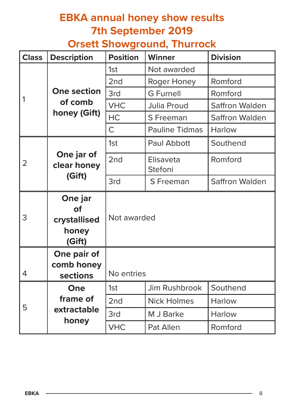## **EBKA annual honey show results 7th September 2019**

## **Orsett Showground, Thurrock**

| <b>Class</b> | <b>Description</b>                               | <b>Position</b> | <b>Division</b><br><b>Winner</b><br>Not awarded<br>Romford<br>Roger Honey<br><b>G</b> Furnell<br>Romford |                |  |  |  |
|--------------|--------------------------------------------------|-----------------|----------------------------------------------------------------------------------------------------------|----------------|--|--|--|
|              |                                                  | 1st             |                                                                                                          |                |  |  |  |
| 1            |                                                  | 2 <sub>nd</sub> |                                                                                                          |                |  |  |  |
|              | <b>One section</b>                               | 3rd             |                                                                                                          |                |  |  |  |
|              | of comb                                          | <b>VHC</b>      | Julia Proud                                                                                              | Saffron Walden |  |  |  |
|              | honey (Gift)                                     | <b>HC</b>       | S Freeman                                                                                                | Saffron Walden |  |  |  |
|              |                                                  | $\mathsf{C}$    | <b>Pauline Tidmas</b>                                                                                    | Harlow         |  |  |  |
|              |                                                  | 1st             | Paul Abbott                                                                                              | Southend       |  |  |  |
| 2            | One jar of<br>clear honey                        | 2 <sub>nd</sub> | Elisaveta<br>Stefoni                                                                                     | Romford        |  |  |  |
|              | (Gift)                                           | 3rd             | S Freeman                                                                                                | Saffron Walden |  |  |  |
| 3            | One jar<br>of<br>crystallised<br>honey<br>(Gift) |                 | Not awarded                                                                                              |                |  |  |  |
| 4            | One pair of<br>comb honey<br>sections            | No entries      |                                                                                                          |                |  |  |  |
|              | One                                              | 1st             | Jim Rushbrook                                                                                            | Southend       |  |  |  |
|              | frame of                                         | 2nd             | <b>Nick Holmes</b>                                                                                       | Harlow         |  |  |  |
| 5            | extractable                                      | 3rd             | M J Barke                                                                                                | Harlow         |  |  |  |
|              | honey                                            | <b>VHC</b>      | Pat Allen                                                                                                | Romford        |  |  |  |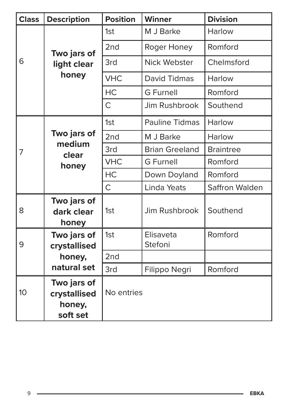| <b>Class</b>    | <b>Description</b>                                | <b>Position</b> | <b>Winner</b>         | <b>Division</b>  |  |
|-----------------|---------------------------------------------------|-----------------|-----------------------|------------------|--|
|                 |                                                   | 1st             | M J Barke             | Harlow           |  |
|                 | Two jars of                                       | 2 <sub>nd</sub> | Roger Honey           | Romford          |  |
| 6               | light clear                                       | 3rd             | Nick Webster          | Chelmsford       |  |
|                 | honey                                             | <b>VHC</b>      | David Tidmas          | Harlow           |  |
|                 |                                                   | HC              | <b>G</b> Furnell      | Romford          |  |
|                 |                                                   | $\mathsf{C}$    | Jim Rushbrook         | Southend         |  |
|                 |                                                   | 1st             | <b>Pauline Tidmas</b> | Harlow           |  |
|                 | Two jars of<br>medium<br>clear<br>honey           | 2nd             | M J Barke             | Harlow           |  |
| $\overline{7}$  |                                                   | 3rd             | <b>Brian Greeland</b> | <b>Braintree</b> |  |
|                 |                                                   | <b>VHC</b>      | <b>G</b> Furnell      | Romford          |  |
|                 |                                                   | HC              | Down Doyland          | Romford          |  |
|                 |                                                   | $\mathsf{C}$    | Linda Yeats           | Saffron Walden   |  |
| 8               | Two jars of<br>dark clear<br>honey                | 1st             | Jim Rushbrook         | Southend         |  |
| 9               | Two jars of<br>crystallised                       | 1st             | Elisaveta<br>Stefoni  | Romford          |  |
|                 | honey,                                            | 2 <sub>nd</sub> |                       |                  |  |
|                 | natural set                                       | 3rd             | Filippo Negri         | Romford          |  |
| 10 <sup>1</sup> | Two jars of<br>crystallised<br>honey,<br>soft set | No entries      |                       |                  |  |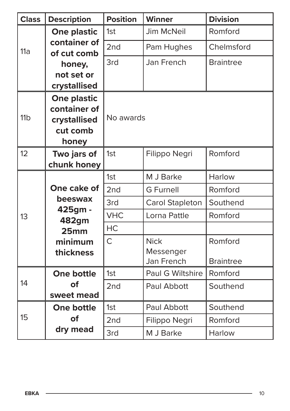| <b>Class</b>    | <b>Description</b>          | <b>Position</b> | Winner                 | <b>Division</b>  |  |  |  |  |  |
|-----------------|-----------------------------|-----------------|------------------------|------------------|--|--|--|--|--|
|                 | <b>One plastic</b>          | 1st             | Jim McNeil             | Romford          |  |  |  |  |  |
| 11a             | container of<br>of cut comb | 2 <sub>nd</sub> | Pam Hughes             | Chelmsford       |  |  |  |  |  |
|                 | honey,                      | 3rd             | Jan French             | <b>Braintree</b> |  |  |  |  |  |
|                 | not set or                  |                 |                        |                  |  |  |  |  |  |
|                 | crystallised                |                 |                        |                  |  |  |  |  |  |
|                 | One plastic                 |                 |                        |                  |  |  |  |  |  |
| 11 <sub>b</sub> | container of                | No awards       |                        |                  |  |  |  |  |  |
|                 | crystallised<br>cut comb    |                 |                        |                  |  |  |  |  |  |
|                 | honey                       |                 |                        |                  |  |  |  |  |  |
| 12              | Two jars of                 | 1st             | Filippo Negri          | Romford          |  |  |  |  |  |
|                 | chunk honey                 |                 |                        |                  |  |  |  |  |  |
|                 |                             | 1st             | M J Barke              | Harlow           |  |  |  |  |  |
|                 | One cake of                 | 2 <sub>nd</sub> | <b>G</b> Furnell       | Romford          |  |  |  |  |  |
|                 | beeswax                     | 3rd             | <b>Carol Stapleton</b> | Southend         |  |  |  |  |  |
| 13              | 425gm -<br>482gm            | <b>VHC</b>      | Lorna Pattle           | Romford          |  |  |  |  |  |
|                 | 25mm                        | HC              |                        |                  |  |  |  |  |  |
|                 | minimum                     | $\overline{C}$  | <b>Nick</b>            | Romford          |  |  |  |  |  |
|                 | thickness                   |                 | Messenger              |                  |  |  |  |  |  |
|                 |                             |                 | Jan French             | <b>Braintree</b> |  |  |  |  |  |
|                 | <b>One bottle</b>           | 1st             | Paul G Wiltshire       | Romford          |  |  |  |  |  |
| 14              | of                          | 2 <sub>nd</sub> | Paul Abbott            | Southend         |  |  |  |  |  |
|                 | sweet mead                  |                 |                        |                  |  |  |  |  |  |
| 15              | One bottle                  | 1st             | Paul Abbott            | Southend         |  |  |  |  |  |
|                 | of                          | 2 <sub>nd</sub> | Filippo Negri          | Romford          |  |  |  |  |  |
|                 | dry mead                    | 3rd             | M J Barke              | Harlow           |  |  |  |  |  |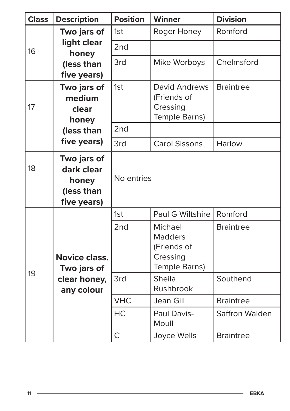| <b>Class</b> | <b>Description</b>                                              | <b>Position</b> | <b>Winner</b>                                                         | <b>Division</b>  |  |  |
|--------------|-----------------------------------------------------------------|-----------------|-----------------------------------------------------------------------|------------------|--|--|
|              | Two jars of                                                     | 1st             | Roger Honey                                                           | Romford          |  |  |
| 16           | light clear<br>honey                                            | 2nd             |                                                                       |                  |  |  |
|              | (less than<br>five years)                                       | 3rd             | Mike Worboys                                                          | Chelmsford       |  |  |
| 17           | Two jars of<br>medium<br>clear<br>honey                         | 1st             | <b>David Andrews</b><br>(Friends of<br>Cressing<br>Temple Barns)      | <b>Braintree</b> |  |  |
|              | (less than                                                      | 2 <sub>nd</sub> |                                                                       |                  |  |  |
|              | five years)                                                     | 3rd             | <b>Carol Sissons</b>                                                  | Harlow           |  |  |
| 18           | Two jars of<br>dark clear<br>honey<br>(less than<br>five years) | No entries      |                                                                       |                  |  |  |
|              |                                                                 | 1st             | Paul G Wiltshire                                                      | Romford          |  |  |
|              | <b>Novice class.</b><br>Two jars of                             | 2 <sub>nd</sub> | Michael<br><b>Madders</b><br>(Friends of<br>Cressing<br>Temple Barns) | <b>Braintree</b> |  |  |
| 19           | clear honey,<br>any colour                                      | 3rd             | <b>Sheila</b><br>Rushbrook                                            | Southend         |  |  |
|              |                                                                 | <b>VHC</b>      | Jean Gill                                                             | <b>Braintree</b> |  |  |
|              |                                                                 | <b>HC</b>       | Paul Davis-<br>Moull                                                  | Saffron Walden   |  |  |
|              |                                                                 | $\overline{C}$  | Joyce Wells                                                           | <b>Braintree</b> |  |  |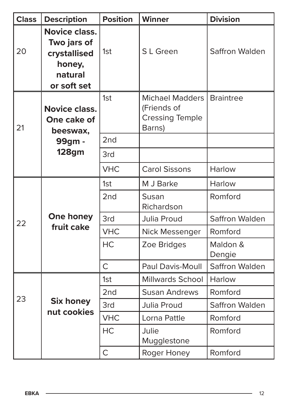| <b>Class</b>                                          | <b>Description</b>                                                                      | <b>Position</b> | <b>Winner</b>                                                             | <b>Division</b>    |
|-------------------------------------------------------|-----------------------------------------------------------------------------------------|-----------------|---------------------------------------------------------------------------|--------------------|
| 20                                                    | <b>Novice class.</b><br>Two jars of<br>crystallised<br>honey,<br>natural<br>or soft set | 1st             | S L Green                                                                 | Saffron Walden     |
| <b>Novice class.</b><br>One cake of<br>21<br>beeswax, |                                                                                         | 1st             | <b>Michael Madders</b><br>(Friends of<br><b>Cressing Temple</b><br>Barns) | <b>Braintree</b>   |
|                                                       | 99gm -                                                                                  | 2 <sub>nd</sub> |                                                                           |                    |
|                                                       | <b>128gm</b>                                                                            | 3rd             |                                                                           |                    |
|                                                       |                                                                                         | <b>VHC</b>      | <b>Carol Sissons</b>                                                      | Harlow             |
|                                                       | One honey                                                                               | 1st             | M J Barke                                                                 | Harlow             |
|                                                       |                                                                                         | 2nd             | Susan<br>Richardson                                                       | Romford            |
| 22                                                    |                                                                                         | 3rd             | Julia Proud                                                               | Saffron Walden     |
|                                                       | fruit cake                                                                              | <b>VHC</b>      | Nick Messenger                                                            | Romford            |
|                                                       |                                                                                         | <b>HC</b>       | Zoe Bridges                                                               | Maldon &<br>Dengie |
|                                                       |                                                                                         | $\overline{C}$  | Paul Davis-Moull                                                          | Saffron Walden     |
|                                                       |                                                                                         | 1st             | Millwards School                                                          | Harlow             |
|                                                       |                                                                                         | 2 <sub>nd</sub> | <b>Susan Andrews</b>                                                      | Romford            |
| 23                                                    | <b>Six honey</b>                                                                        | 3rd             | Julia Proud                                                               | Saffron Walden     |
|                                                       | nut cookies                                                                             | <b>VHC</b>      | Lorna Pattle                                                              | Romford            |
|                                                       |                                                                                         | <b>HC</b>       | Julie<br>Mugglestone                                                      | Romford            |
|                                                       |                                                                                         | $\overline{C}$  | Roger Honey                                                               | Romford            |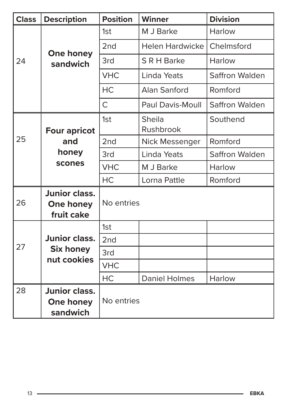| <b>Class</b>        | <b>Description</b>                              | <b>Position</b> | <b>Winner</b>              | <b>Division</b> |  |  |  |
|---------------------|-------------------------------------------------|-----------------|----------------------------|-----------------|--|--|--|
|                     |                                                 | 1st             | M J Barke                  | Harlow          |  |  |  |
|                     | One honey                                       | 2nd             | <b>Helen Hardwicke</b>     | Chelmsford      |  |  |  |
| 24                  | sandwich                                        | 3rd             | S R H Barke                | Harlow          |  |  |  |
|                     |                                                 | <b>VHC</b>      | Linda Yeats                | Saffron Walden  |  |  |  |
|                     |                                                 | <b>HC</b>       | Alan Sanford               | Romford         |  |  |  |
|                     |                                                 | $\mathsf{C}$    | Paul Davis-Moull           | Saffron Walden  |  |  |  |
| <b>Four apricot</b> |                                                 | 1st             | <b>Sheila</b><br>Rushbrook | Southend        |  |  |  |
| 25                  | and                                             | 2 <sub>nd</sub> | Nick Messenger             | Romford         |  |  |  |
|                     | honey<br>scones                                 | 3rd             | Linda Yeats                | Saffron Walden  |  |  |  |
|                     |                                                 | <b>VHC</b>      | M J Barke                  | Harlow          |  |  |  |
|                     |                                                 | <b>HC</b>       | Lorna Pattle               | Romford         |  |  |  |
| 26                  | <b>Junior class.</b><br>One honey<br>fruit cake |                 | No entries                 |                 |  |  |  |
|                     |                                                 | 1st             |                            |                 |  |  |  |
|                     | Junior class.                                   | 2nd             |                            |                 |  |  |  |
| 27                  | <b>Six honey</b>                                | 3rd             |                            |                 |  |  |  |
|                     | nut cookies                                     | <b>VHC</b>      |                            |                 |  |  |  |
|                     |                                                 | <b>HC</b>       | <b>Daniel Holmes</b>       | Harlow          |  |  |  |
| 28                  | <b>Junior class.</b><br>One honey<br>sandwich   | No entries      |                            |                 |  |  |  |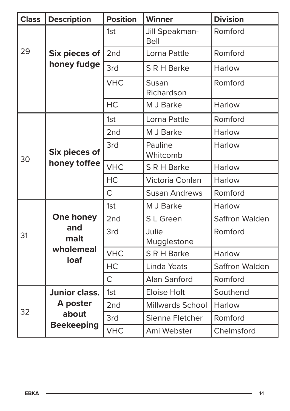| <b>Class</b>      | <b>Description</b>            | <b>Division</b> |                               |                |
|-------------------|-------------------------------|-----------------|-------------------------------|----------------|
|                   |                               | 1st             | Jill Speakman-<br><b>Bell</b> | Romford        |
| 29<br>honey fudge | Six pieces of                 | 2nd             | Lorna Pattle                  | Romford        |
|                   | 3rd                           | S R H Barke     | Harlow                        |                |
|                   |                               | <b>VHC</b>      | Susan<br>Richardson           | Romford        |
|                   |                               | HC              | M J Barke                     | Harlow         |
|                   |                               | 1st             | Lorna Pattle                  | Romford        |
| 30                |                               | 2 <sub>nd</sub> | M J Barke                     | Harlow         |
|                   | Six pieces of<br>honey toffee | 3rd             | Pauline<br>Whitcomb           | Harlow         |
|                   |                               | <b>VHC</b>      | S R H Barke                   | Harlow         |
|                   |                               | <b>HC</b>       | Victoria Conlan               | Harlow         |
|                   |                               | $\overline{C}$  | <b>Susan Andrews</b>          | Romford        |
|                   |                               | 1st             | M J Barke                     | Harlow         |
|                   | One honey                     | 2nd             | S L Green                     | Saffron Walden |
| 31                | and<br>malt                   | 3rd             | Julie<br>Mugglestone          | Romford        |
|                   | wholemeal<br>loaf             | <b>VHC</b>      | S R H Barke                   | Harlow         |
|                   |                               | <b>HC</b>       | Linda Yeats                   | Saffron Walden |
|                   |                               | $\overline{C}$  | Alan Sanford                  | Romford        |
|                   | Junior class.                 | 1st             | <b>Eloise Holt</b>            | Southend       |
| 32                | A poster                      | 2 <sub>nd</sub> | Millwards School              | Harlow         |
|                   | about<br><b>Beekeeping</b>    | 3rd             | Sienna Fletcher               | Romford        |
|                   |                               | <b>VHC</b>      | Ami Webster                   | Chelmsford     |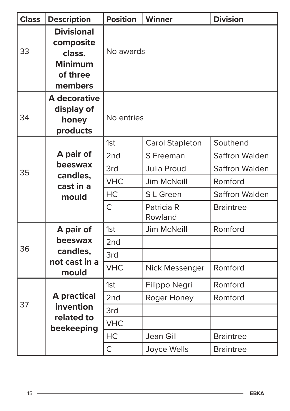| <b>Class</b> | <b>Description</b>                                                                | <b>Position</b> | <b>Winner</b>          | <b>Division</b>  |  |  |  |
|--------------|-----------------------------------------------------------------------------------|-----------------|------------------------|------------------|--|--|--|
| 33           | <b>Divisional</b><br>composite<br>class.<br><b>Minimum</b><br>of three<br>members | No awards       |                        |                  |  |  |  |
| 34           | A decorative<br>display of<br>honey<br>products                                   |                 | No entries             |                  |  |  |  |
|              |                                                                                   | 1st             | <b>Carol Stapleton</b> | Southend         |  |  |  |
|              | A pair of                                                                         | 2 <sub>nd</sub> | S Freeman              | Saffron Walden   |  |  |  |
| 35           | beeswax<br>candles,                                                               | 3rd             | Julia Proud            | Saffron Walden   |  |  |  |
|              | cast in a                                                                         | <b>VHC</b>      | <b>Jim McNeill</b>     | Romford          |  |  |  |
|              | mould                                                                             | HC              | S L Green              | Saffron Walden   |  |  |  |
|              |                                                                                   | $\mathsf{C}$    | Patricia R<br>Rowland  | <b>Braintree</b> |  |  |  |
|              | A pair of                                                                         | 1st             | <b>Jim McNeill</b>     | Romford          |  |  |  |
|              | beeswax                                                                           | 2nd             |                        |                  |  |  |  |
| 36           | candles,                                                                          | 3rd             |                        |                  |  |  |  |
|              | not cast in a<br>mould                                                            | <b>VHC</b>      | Nick Messenger         | Romford          |  |  |  |
|              |                                                                                   | 1st             | Filippo Negri          | Romford          |  |  |  |
|              | <b>A</b> practical                                                                | 2nd             | Roger Honey            | Romford          |  |  |  |
| 37           | invention                                                                         | 3rd             |                        |                  |  |  |  |
|              | related to<br>beekeeping                                                          | <b>VHC</b>      |                        |                  |  |  |  |
|              |                                                                                   | <b>HC</b>       | Jean Gill              | <b>Braintree</b> |  |  |  |
|              |                                                                                   | $\overline{C}$  | Joyce Wells            | <b>Braintree</b> |  |  |  |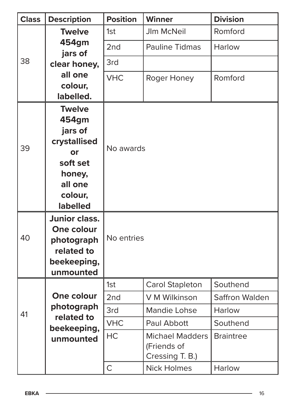| <b>Class</b> | <b>Description</b>                                                                                              | <b>Position</b> | <b>Winner</b>                                            | <b>Division</b>  |  |  |  |
|--------------|-----------------------------------------------------------------------------------------------------------------|-----------------|----------------------------------------------------------|------------------|--|--|--|
|              | <b>Twelve</b>                                                                                                   | 1st             | <b>JIm McNeil</b>                                        | Romford          |  |  |  |
|              | 454gm<br>jars of                                                                                                | 2nd             | <b>Pauline Tidmas</b>                                    | Harlow           |  |  |  |
| 38           | clear honey,                                                                                                    | 3rd             |                                                          |                  |  |  |  |
|              | all one<br>colour,<br>labelled.                                                                                 | <b>VHC</b>      | Roger Honey                                              | Romford          |  |  |  |
| 39           | <b>Twelve</b><br>454gm<br>jars of<br>crystallised<br>or<br>soft set<br>honey,<br>all one<br>colour,<br>labelled |                 | No awards                                                |                  |  |  |  |
| 40           | <b>Junior class.</b><br>One colour<br>photograph<br>related to<br>beekeeping,<br>unmounted                      | No entries      |                                                          |                  |  |  |  |
|              |                                                                                                                 | 1st             | <b>Carol Stapleton</b>                                   | Southend         |  |  |  |
|              | One colour                                                                                                      | 2nd             | V M Wilkinson                                            | Saffron Walden   |  |  |  |
| 41           | photograph<br>related to                                                                                        | 3rd             | Mandie Lohse                                             | Harlow           |  |  |  |
|              | beekeeping,                                                                                                     | <b>VHC</b>      | Paul Abbott                                              | Southend         |  |  |  |
|              | unmounted                                                                                                       | <b>HC</b>       | <b>Michael Madders</b><br>(Friends of<br>Cressing T. B.) | <b>Braintree</b> |  |  |  |
|              |                                                                                                                 | $\overline{C}$  | <b>Nick Holmes</b>                                       | Harlow           |  |  |  |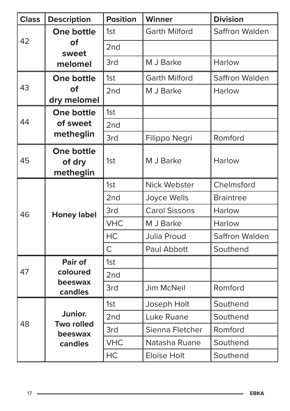| <b>Class</b> | <b>Description</b>                       | <b>Position</b> | <b>Winner</b>        | <b>Division</b>  |
|--------------|------------------------------------------|-----------------|----------------------|------------------|
|              | <b>One bottle</b>                        | 1st             | <b>Garth Milford</b> | Saffron Walden   |
| 42           | of<br>sweet                              | 2nd             |                      |                  |
|              | melomel                                  | 3rd             | M J Barke            | Harlow           |
|              | <b>One bottle</b>                        | 1st             | <b>Garth Milford</b> | Saffron Walden   |
| 43           | of<br>dry melomel                        | 2nd             | M J Barke            | Harlow           |
|              | One bottle                               | 1st             |                      |                  |
| 44           | of sweet                                 | 2 <sub>nd</sub> |                      |                  |
|              | metheglin                                | 3rd             | Filippo Negri        | Romford          |
| 45           | <b>One bottle</b><br>of dry<br>metheglin | 1st             | M J Barke            | Harlow           |
| 46           |                                          | 1st             | Nick Webster         | Chelmsford       |
|              | <b>Honey label</b>                       | 2 <sub>nd</sub> | Joyce Wells          | <b>Braintree</b> |
|              |                                          | 3rd             | <b>Carol Sissons</b> | Harlow           |
|              |                                          | <b>VHC</b>      | M J Barke            | Harlow           |
|              |                                          | HC              | Julia Proud          | Saffron Walden   |
|              |                                          | $\overline{C}$  | Paul Abbott          | Southend         |
|              | Pair of                                  | 1st             |                      |                  |
| 47           | coloured<br>beeswax                      | 2 <sub>nd</sub> |                      |                  |
|              | candles                                  | 3rd             | <b>Jim McNeil</b>    | Romford          |
|              |                                          | 1st             | Joseph Holt          | Southend         |
| 48           | Junior.                                  | 2 <sub>nd</sub> | Luke Ruane           | Southend         |
|              | <b>Two rolled</b><br>beeswax             | 3rd             | Sienna Fletcher      | Romford          |
|              | candles                                  | <b>VHC</b>      | Natasha Ruane        | Southend         |
|              |                                          | HC              | <b>Eloise Holt</b>   | Southend         |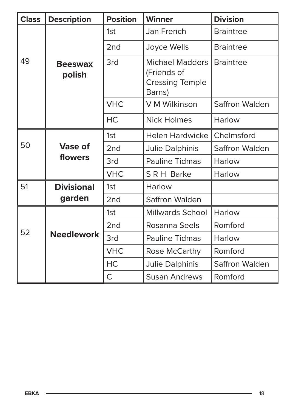| <b>Class</b> | <b>Description</b>       | <b>Position</b> | <b>Winner</b>                                                             | <b>Division</b>  |
|--------------|--------------------------|-----------------|---------------------------------------------------------------------------|------------------|
|              |                          | 1st             | Jan French                                                                | <b>Braintree</b> |
|              |                          | 2 <sub>nd</sub> | Joyce Wells                                                               | <b>Braintree</b> |
| 49           | <b>Beeswax</b><br>polish | 3rd             | <b>Michael Madders</b><br>(Friends of<br><b>Cressing Temple</b><br>Barns) | <b>Braintree</b> |
|              |                          | <b>VHC</b>      | V M Wilkinson                                                             | Saffron Walden   |
|              |                          | <b>HC</b>       | <b>Nick Holmes</b>                                                        | Harlow           |
|              |                          | 1st             | <b>Helen Hardwicke</b>                                                    | Chelmsford       |
| 50           | <b>Vase of</b>           | 2nd             | Julie Dalphinis                                                           | Saffron Walden   |
|              | flowers                  | 3rd             | Pauline Tidmas<br>Harlow                                                  |                  |
|              |                          | <b>VHC</b>      | SRH Barke                                                                 | Harlow           |
| 51           | <b>Divisional</b>        | 1st             | Harlow                                                                    |                  |
|              | garden                   | 2 <sub>nd</sub> | Saffron Walden                                                            |                  |
|              |                          | 1st             | <b>Millwards School</b>                                                   | Harlow           |
| 52           |                          | 2 <sub>nd</sub> | Rosanna Seels                                                             | Romford          |
|              | <b>Needlework</b>        | 3rd             | <b>Pauline Tidmas</b>                                                     | Harlow           |
|              |                          | <b>VHC</b>      | Rose McCarthy                                                             | Romford          |
|              |                          | <b>HC</b>       | Julie Dalphinis                                                           | Saffron Walden   |
|              |                          | Ć               | <b>Susan Andrews</b>                                                      | Romford          |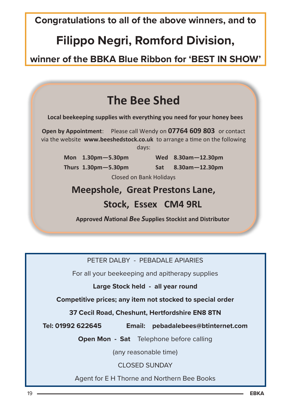**Congratulations to all of the above winners, and to**

## **Filippo Negri, Romford Division,**

### **winner of the BBKA Blue Ribbon for 'BEST IN SHOW'**



**Approved** *N***ational** *B***ee** *S***upplies Stockist and Distributor**

PETER DALBY - PEBADALE APIARIES

For all your beekeeping and apitherapy supplies

**Large Stock held - all year round**

**Competitive prices; any item not stocked to special order**

**37 Cecil Road, Cheshunt, Hertfordshire EN8 8TN**

**Tel: 01992 622645 Email: pebadalebees@btinternet.com**

**Open Mon - Sat** Telephone before calling

(any reasonable time)

CLOSED SUNDAY

Agent for E H Thorne and Northern Bee Books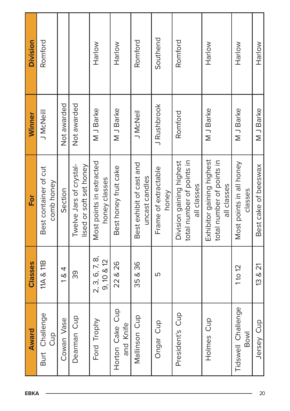| <b>Division</b> | Romford                             |                     |                                                    | Harlow                                    | Harlow                          | Romford                                    | Southend                      | Romford                                                              | Harlow                                                                | Harlow                              | Harlow               |
|-----------------|-------------------------------------|---------------------|----------------------------------------------------|-------------------------------------------|---------------------------------|--------------------------------------------|-------------------------------|----------------------------------------------------------------------|-----------------------------------------------------------------------|-------------------------------------|----------------------|
| Winner          | J McNeill                           | Not awarded         | Not awarded                                        | M J Barke                                 | M J Barke                       | J McNeil                                   | J Rushbrook                   | Romford                                                              | M J Barke                                                             | M J Barke                           | M J Barke            |
| For             | Best container of cut<br>comb honey | Section             | Twelve Jars of crystal-<br>lised or soft set honey | Most points in extracted<br>honey classes | Best honey fruit cake           | Best exhibit of cast and<br>uncast candles | Frame of extractable<br>honey | total number of points in<br>Division gaining highest<br>all classes | Exhibitor gaining highest<br>total number of points in<br>all classes | Most points in all honey<br>classes | Best cake of beeswax |
| Classes         | <b>11A &amp; 11B</b>                | 1 & 4               | 39                                                 | 2, 3, 6, 7, 8,<br>9,10 & 12               | 22 & 26                         | 35 & 36                                    | Γυ                            |                                                                      |                                                                       | $1$ to $12$                         | 13 & 21              |
| Award           | 9Đ<br>Burt Challen<br>Cup           | $\Phi$<br>Cowan Vas | Dearman Cup                                        | Ford Trophy                               | Gup<br>and Knife<br>Horton Cake | Mallinson Cup                              | Ongar Cup                     | President's Cup                                                      | $\Omega$<br>Holmes <sub>Cu</sub>                                      | Tidswell Challenge<br>Bowl          | Jersey Cup           |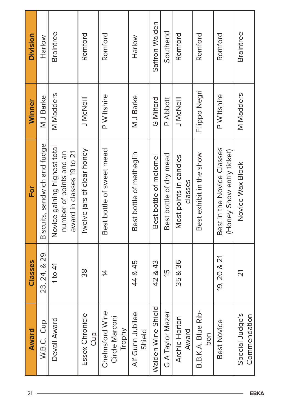| 21   | Award                                       | Classes      | <b>For</b>                                                                           | Winner           | Division         |
|------|---------------------------------------------|--------------|--------------------------------------------------------------------------------------|------------------|------------------|
|      | W.B.C. Cup                                  | 23, 24, & 29 | Biscuits, sandwich and fudge                                                         | M J Barke        | Harlow           |
|      | Devall Award                                | 1 to $41$    | Novice gaining highest total<br>number of points and an<br>award in classes 19 to 21 | <b>M</b> Madders | <b>Braintree</b> |
|      | Essex Chronicle<br>Gup                      | 38           | Twelve jars of clear honey                                                           | J McNeill        | Romford          |
|      | Chelmsford Wine<br>Circle Marconi<br>Trophy | 4            | Best bottle of sweet mead                                                            | P Wiltshire      | Romford          |
|      | Alf Gunn Jubilee<br>Shield                  | 44 & 45      | Best bottle of metheglin                                                             | M J Barke        | Harlow           |
|      | Walden Wine Shield                          | 42 & 43      | Best bottle of melomel                                                               | G Milford        | Saffron Walden   |
|      | G A Taylor Mazer                            | 15           | Best bottle of dry mead                                                              | P Abbott         | Southend         |
|      | Archie Hortor<br>Award                      | 35 & 36      | Most points in candles<br>classes                                                    | J McNeill        | Romford          |
|      | B.B.K.A. Blue Rib-<br>bon                   |              | Best exhibit in the show                                                             | Filippo Negri    | Romford          |
|      | Best Novice                                 | 19, 20 & 21  | Best in the Novice Classes<br>(Honey Show entry ticket)                              | P Wiltshire      | Romford          |
|      | Special Judge's<br>Commendation             | 21           | Novice Wax Block                                                                     | <b>M</b> Madders | Braintree        |
| EBKA |                                             |              |                                                                                      |                  |                  |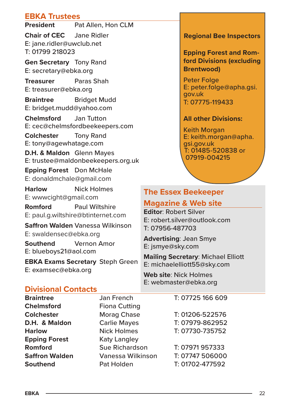#### **EBKA Trustees**

**President** Pat Allen, Hon CLM

**Chair of CEC** Jane Ridler E: jane.ridler@uwclub.net T: 01799 218023

**Gen Secretary** Tony Rand E: secretary@ebka.org

**Treasurer** Paras Shah E: treasurer@ebka.org

**Braintree** Bridget Mudd E: bridget.mudd@yahoo.com

**Chelmsford** Jan Tutton E: cec@chelmsfordbeekeepers.com

**Colchester** Tony Rand E: tony@agewhatage.com

**D.H. & Maldon** Glenn Mayes E: trustee@maldonbeekeepers.org.uk

**Epping Forest** Don McHale E: donaldmchale@gmail.com

**Harlow** Nick Holmes E: wwwcight@gmail.com

**Romford** Paul Wiltshire E: paul.g.wiltshire@btinternet.com

**Saffron Walden** Vanessa Wilkinson E: swaldensec@ebka.org

**Southend** Vernon Amor E: blueboys21@aol.com

**EBKA Exams Secretary** Steph Green E: examsec@ebka.org

**Regional Bee Inspectors**

**Epping Forest and Romford Divisions (excluding Brentwood)**

Peter Folge E: peter.folge@apha.gsi. gov.uk T: 07775-119433

#### **All other Divisions:**

Keith Morgan E: keith.morgan@apha. gsi.gov.uk T: 01485-520838 or 07919-004215

#### **The Essex Beekeeper**

#### **Magazine & Web site**

**Editor**: Robert Silver E: robert.silver@outlook.com T: 07956-487703

**Advertising**: Jean Smye E: jsmye@sky.com

**Mailing Secretary**: Michael Elliott E: michaelelliott55@sky.com

**Web site**: Nick Holmes E: webmaster@ebka.org

#### **Divisional Contacts**

| Braintree            |
|----------------------|
| Chelmsford           |
| <b>Colchester</b>    |
| D.H. & Maldon        |
| <b>Harlow</b>        |
| <b>Epping Forest</b> |
| Romford              |
| Saffron Walden       |
| <b>Southend</b>      |

**Fiona Cutting Colchester** Morag Chase T: 01206-522576 **D.H. & Maldon** Carlie Mayes T: 07979-862952 **Harlow** Nick Holmes T: 07730-735752 **Katy Langley Romford** Sue Richardson T: 07971 957333 **Saffron Walden** Vanessa Wilkinson T: 07747 506000 Pat Holden T: 01702-477592

**Jan French T: 07725 166 609**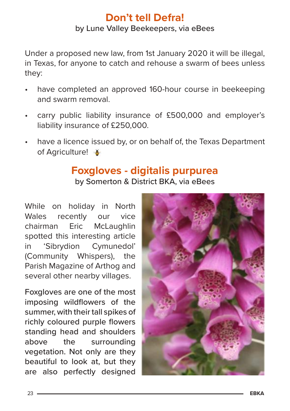## **Don't tell Defra!**

by Lune Valley Beekeepers, via eBees

Under a proposed new law, from 1st January 2020 it will be illegal, in Texas, for anyone to catch and rehouse a swarm of bees unless they:

- have completed an approved 160-hour course in beekeeping and swarm removal.
- carry public liability insurance of £500,000 and employer's liability insurance of £250,000.
- have a licence issued by, or on behalf of, the Texas Department of Agriculture!

#### **Foxgloves - digitalis purpurea** by Somerton & District BKA, via eBees

While on holiday in North Wales recently our vice chairman Eric McLaughlin spotted this interesting article in 'Sibrydion Cymunedol' (Community Whispers), the Parish Magazine of Arthog and several other nearby villages.

Foxgloves are one of the most imposing wildflowers of the summer, with their tall spikes of richly coloured purple flowers standing head and shoulders above the surrounding vegetation. Not only are they beautiful to look at, but they are also perfectly designed

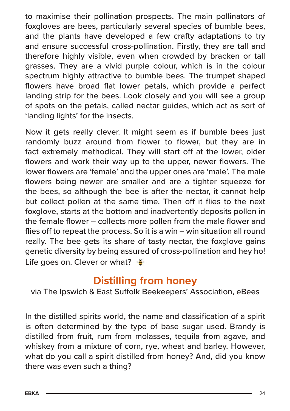to maximise their pollination prospects. The main pollinators of foxgloves are bees, particularly several species of bumble bees, and the plants have developed a few crafty adaptations to try and ensure successful cross-pollination. Firstly, they are tall and therefore highly visible, even when crowded by bracken or tall grasses. They are a vivid purple colour, which is in the colour spectrum highly attractive to bumble bees. The trumpet shaped flowers have broad flat lower petals, which provide a perfect landing strip for the bees. Look closely and you will see a group of spots on the petals, called nectar guides, which act as sort of 'landing lights' for the insects.

Now it gets really clever. It might seem as if bumble bees just randomly buzz around from flower to flower, but they are in fact extremely methodical. They will start off at the lower, older flowers and work their way up to the upper, newer flowers. The lower flowers are 'female' and the upper ones are 'male'. The male flowers being newer are smaller and are a tighter squeeze for the bees, so although the bee is after the nectar, it cannot help but collect pollen at the same time. Then off it flies to the next foxglove, starts at the bottom and inadvertently deposits pollen in the female flower – collects more pollen from the male flower and flies off to repeat the process. So it is a win – win situation all round really. The bee gets its share of tasty nectar, the foxglove gains genetic diversity by being assured of cross-pollination and hey ho! Life goes on. Clever or what?  $\frac{3}{2}$ 

## **Distilling from honey**

via The Ipswich & East Suffolk Beekeepers' Association, eBees

In the distilled spirits world, the name and classification of a spirit is often determined by the type of base sugar used. Brandy is distilled from fruit, rum from molasses, tequila from agave, and whiskey from a mixture of corn, rye, wheat and barley. However, what do you call a spirit distilled from honey? And, did you know there was even such a thing?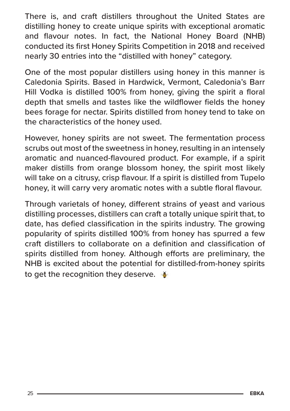There is, and craft distillers throughout the United States are distilling honey to create unique spirits with exceptional aromatic and flavour notes. In fact, the National Honey Board (NHB) conducted its first Honey Spirits Competition in 2018 and received nearly 30 entries into the "distilled with honey" category.

One of the most popular distillers using honey in this manner is Caledonia Spirits. Based in Hardwick, Vermont, Caledonia's Barr Hill Vodka is distilled 100% from honey, giving the spirit a floral depth that smells and tastes like the wildflower fields the honey bees forage for nectar. Spirits distilled from honey tend to take on the characteristics of the honey used.

However, honey spirits are not sweet. The fermentation process scrubs out most of the sweetness in honey, resulting in an intensely aromatic and nuanced-flavoured product. For example, if a spirit maker distills from orange blossom honey, the spirit most likely will take on a citrusy, crisp flavour. If a spirit is distilled from Tupelo honey, it will carry very aromatic notes with a subtle floral flavour.

Through varietals of honey, different strains of yeast and various distilling processes, distillers can craft a totally unique spirit that, to date, has defied classification in the spirits industry. The growing popularity of spirits distilled 100% from honey has spurred a few craft distillers to collaborate on a definition and classification of spirits distilled from honey. Although efforts are preliminary, the NHB is excited about the potential for distilled-from-honey spirits to get the recognition they deserve.  $\blacktriangle$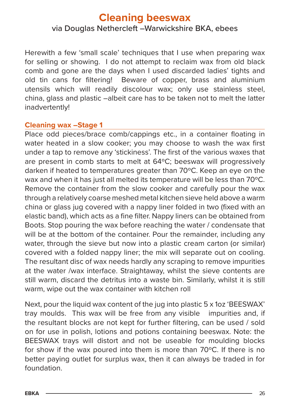### **Cleaning beeswax** via Douglas Nethercleft –Warwickshire BKA, ebees

Herewith a few 'small scale' techniques that I use when preparing wax for selling or showing. I do not attempt to reclaim wax from old black comb and gone are the days when I used discarded ladies' tights and old tin cans for filtering! Beware of copper, brass and aluminium utensils which will readily discolour wax; only use stainless steel, china, glass and plastic –albeit care has to be taken not to melt the latter inadvertently!

#### **Cleaning wax –Stage 1**

Place odd pieces/brace comb/cappings etc., in a container floating in water heated in a slow cooker; you may choose to wash the wax first under a tap to remove any 'stickiness'. The first of the various waxes that are present in comb starts to melt at 64ºC; beeswax will progressively darken if heated to temperatures greater than 70ºC. Keep an eye on the wax and when it has just all melted its temperature will be less than 70ºC. Remove the container from the slow cooker and carefully pour the wax through a relatively coarse meshed metal kitchen sieve held above a warm china or glass jug covered with a nappy liner folded in two (fixed with an elastic band), which acts as a fine filter. Nappy liners can be obtained from Boots. Stop pouring the wax before reaching the water / condensate that will be at the bottom of the container. Pour the remainder, including any water, through the sieve but now into a plastic cream carton (or similar) covered with a folded nappy liner; the mix will separate out on cooling. The resultant disc of wax needs hardly any scraping to remove impurities at the water /wax interface. Straightaway, whilst the sieve contents are still warm, discard the detritus into a waste bin. Similarly, whilst it is still warm, wipe out the wax container with kitchen roll

Next, pour the liquid wax content of the jug into plastic 5 x 1oz 'BEESWAX' tray moulds. This wax will be free from any visible impurities and, if the resultant blocks are not kept for further filtering, can be used / sold on for use in polish, lotions and potions containing beeswax. Note: the BEESWAX trays will distort and not be useable for moulding blocks for show if the wax poured into them is more than 70ºC. If there is no better paying outlet for surplus wax, then it can always be traded in for foundation.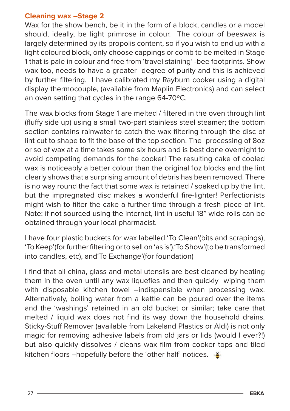#### **Cleaning wax –Stage 2**

Wax for the show bench, be it in the form of a block, candles or a model should, ideally, be light primrose in colour. The colour of beeswax is largely determined by its propolis content, so if you wish to end up with a light coloured block, only choose cappings or comb to be melted in Stage 1 that is pale in colour and free from 'travel staining' -bee footprints. Show wax too, needs to have a greater degree of purity and this is achieved by further filtering. I have calibrated my Rayburn cooker using a digital display thermocouple, (available from Maplin Electronics) and can select an oven setting that cycles in the range 64-70ºC.

The wax blocks from Stage 1 are melted / filtered in the oven through lint (fluffy side up) using a small two-part stainless steel steamer; the bottom section contains rainwater to catch the wax filtering through the disc of lint cut to shape to fit the base of the top section. The processing of 8oz or so of wax at a time takes some six hours and is best done overnight to avoid competing demands for the cooker! The resulting cake of cooled wax is noticeably a better colour than the original 1oz blocks and the lint clearly shows that a surprising amount of debris has been removed. There is no way round the fact that some wax is retained / soaked up by the lint, but the impregnated disc makes a wonderful fire-lighter! Perfectionists might wish to filter the cake a further time through a fresh piece of lint. Note: if not sourced using the internet, lint in useful 18" wide rolls can be obtained through your local pharmacist.

I have four plastic buckets for wax labelled:'To Clean'(bits and scrapings), 'To Keep'(for further filtering or to sell on 'as is'),'To Show'(to be transformed into candles, etc), and'To Exchange'(for foundation)

I find that all china, glass and metal utensils are best cleaned by heating them in the oven until any wax liquefies and then quickly wiping them with disposable kitchen towel –indispensible when processing wax. Alternatively, boiling water from a kettle can be poured over the items and the 'washings' retained in an old bucket or similar; take care that melted / liquid wax does not find its way down the household drains. Sticky-Stuff Remover (available from Lakeland Plastics or Aldi) is not only magic for removing adhesive labels from old jars or lids (would I ever?!) but also quickly dissolves / cleans wax film from cooker tops and tiled kitchen floors –hopefully before the 'other half' notices.